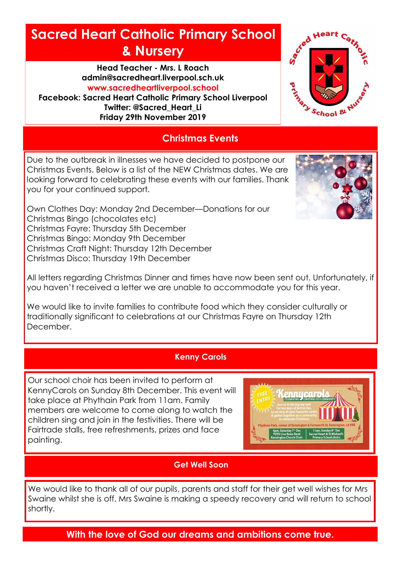# **Sacred Heart Catholic Primary School & Nursery**

**Head Teacher - Mrs. L Roach admin@sacredheart.liverpool.sch.uk www.sacredheartliverpool.school**

**Facebook: Sacred Heart Catholic Primary School Liverpool Twitter: @Sacred\_Heart\_Li Friday 29th November 2019**



# **Christmas Events**

Due to the outbreak in illnesses we have decided to postpone our Christmas Events. Below is a list of the NEW Christmas dates. We are looking forward to celebrating these events with our families. Thank you for your continued support.



Own Clothes Day: Monday 2nd December—Donations for our Christmas Bingo (chocolates etc) Christmas Fayre: Thursday 5th December Christmas Bingo: Monday 9th December Christmas Craft Night: Thursday 12th December Christmas Disco: Thursday 19th December

All letters regarding Christmas Dinner and times have now been sent out. Unfortunately, if you haven't received a letter we are unable to accommodate you for this year.

We would like to invite families to contribute food which they consider culturally or traditionally significant to celebrations at our Christmas Fayre on Thursday 12th December.

## **Kenny Carols**

Our school choir has been invited to perform at KennyCarols on Sunday 8th December. This event will take place at Phythain Park from 11am. Family members are welcome to come along to watch the children sing and join in the festivities. There will be Fairtrade stalls, free refreshments, prizes and face painting.



# **Get Well Soon**

We would like to thank all of our pupils, parents and staff for their get well wishes for Mrs Swaine whilst she is off. Mrs Swaine is making a speedy recovery and will return to school shortly.

**With the love of God our dreams and ambitions come true.**